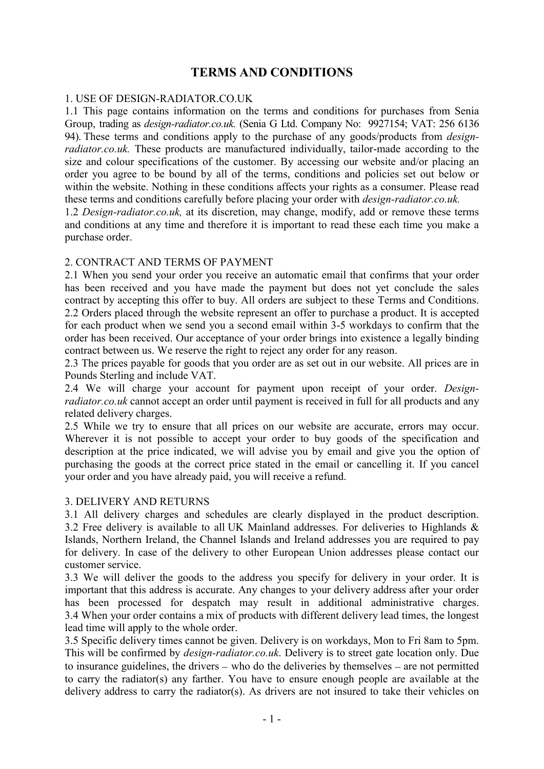# TERMS AND CONDITIONS

#### 1. USE OF DESIGN-RADIATOR.CO.UK

1.1 This page contains information on the terms and conditions for purchases from Senia Group, trading as *design-radiator.co.uk.* (Senia G Ltd. Company No: 9927154; VAT: 256 6136 94). These terms and conditions apply to the purchase of any goods/products from *designradiator.co.uk.* These products are manufactured individually, tailor-made according to the size and colour specifications of the customer. By accessing our website and/or placing an order you agree to be bound by all of the terms, conditions and policies set out below or within the website. Nothing in these conditions affects your rights as a consumer. Please read these terms and conditions carefully before placing your order with *design-radiator.co.uk.*

1.2 *Design-radiator.co.uk,* at its discretion, may change, modify, add or remove these terms and conditions at any time and therefore it is important to read these each time you make a purchase order.

#### 2. CONTRACT AND TERMS OF PAYMENT

2.1 When you send your order you receive an automatic email that confirms that your order has been received and you have made the payment but does not yet conclude the sales contract by accepting this offer to buy. All orders are subject to these Terms and Conditions. 2.2 Orders placed through the website represent an offer to purchase a product. It is accepted for each product when we send you a second email within 3-5 workdays to confirm that the order has been received. Our acceptance of your order brings into existence a legally binding contract between us. We reserve the right to reject any order for any reason.

2.3 The prices payable for goods that you order are as set out in our website. All prices are in Pounds Sterling and include VAT.

2.4 We will charge your account for payment upon receipt of your order. *Designradiator.co.uk* cannot accept an order until payment is received in full for all products and any related delivery charges.

2.5 While we try to ensure that all prices on our website are accurate, errors may occur. Wherever it is not possible to accept your order to buy goods of the specification and description at the price indicated, we will advise you by email and give you the option of purchasing the goods at the correct price stated in the email or cancelling it. If you cancel your order and you have already paid, you will receive a refund.

#### 3. DELIVERY AND RETURNS

3.1 All delivery charges and schedules are clearly displayed in the product description. 3.2 Free delivery is available to all UK Mainland addresses. For deliveries to Highlands & Islands, Northern Ireland, the Channel Islands and Ireland addresses you are required to pay for delivery. In case of the delivery to other European Union addresses please contact our customer service.

3.3 We will deliver the goods to the address you specify for delivery in your order. It is important that this address is accurate. Any changes to your delivery address after your order has been processed for despatch may result in additional administrative charges. 3.4 When your order contains a mix of products with different delivery lead times, the longest lead time will apply to the whole order.

3.5 Specific delivery times cannot be given. Delivery is on workdays, Mon to Fri 8am to 5pm. This will be confirmed by *design-radiator.co.uk*. Delivery is to street gate location only. Due to insurance guidelines, the drivers – who do the deliveries by themselves – are not permitted to carry the radiator(s) any farther. You have to ensure enough people are available at the delivery address to carry the radiator(s). As drivers are not insured to take their vehicles on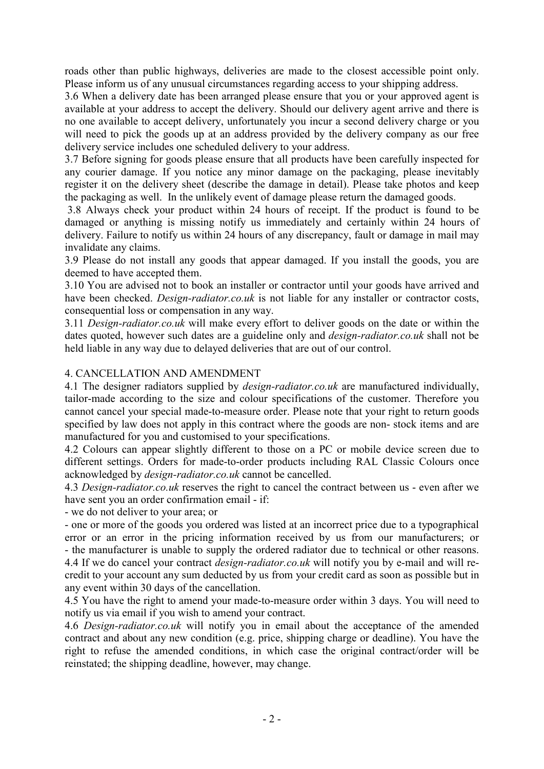roads other than public highways, deliveries are made to the closest accessible point only. Please inform us of any unusual circumstances regarding access to your shipping address.

3.6 When a delivery date has been arranged please ensure that you or your approved agent is available at your address to accept the delivery. Should our delivery agent arrive and there is no one available to accept delivery, unfortunately you incur a second delivery charge or you will need to pick the goods up at an address provided by the delivery company as our free delivery service includes one scheduled delivery to your address.

3.7 Before signing for goods please ensure that all products have been carefully inspected for any courier damage. If you notice any minor damage on the packaging, please inevitably register it on the delivery sheet (describe the damage in detail). Please take photos and keep the packaging as well. In the unlikely event of damage please return the damaged goods.

3.8 Always check your product within 24 hours of receipt. If the product is found to be damaged or anything is missing notify us immediately and certainly within 24 hours of delivery. Failure to notify us within 24 hours of any discrepancy, fault or damage in mail may invalidate any claims.

3.9 Please do not install any goods that appear damaged. If you install the goods, you are deemed to have accepted them.

3.10 You are advised not to book an installer or contractor until your goods have arrived and have been checked. *Design-radiator.co.uk* is not liable for any installer or contractor costs, consequential loss or compensation in any way.

3.11 *Design-radiator.co.uk* will make every effort to deliver goods on the date or within the dates quoted, however such dates are a guideline only and *design-radiator.co.uk* shall not be held liable in any way due to delayed deliveries that are out of our control.

### 4. CANCELLATION AND AMENDMENT

4.1 The designer radiators supplied by *design-radiator.co.uk* are manufactured individually, tailor-made according to the size and colour specifications of the customer. Therefore you cannot cancel your special made-to-measure order. Please note that your right to return goods specified by law does not apply in this contract where the goods are non- stock items and are manufactured for you and customised to your specifications.

4.2 Colours can appear slightly different to those on a PC or mobile device screen due to different settings. Orders for made-to-order products including RAL Classic Colours once acknowledged by *design-radiator.co.uk* cannot be cancelled.

4.3 *Design-radiator.co.uk* reserves the right to cancel the contract between us - even after we have sent you an order confirmation email - if:

- we do not deliver to your area; or

- one or more of the goods you ordered was listed at an incorrect price due to a typographical error or an error in the pricing information received by us from our manufacturers; or - the manufacturer is unable to supply the ordered radiator due to technical or other reasons. 4.4 If we do cancel your contract *design-radiator.co.uk* will notify you by e-mail and will recredit to your account any sum deducted by us from your credit card as soon as possible but in any event within 30 days of the cancellation.

4.5 You have the right to amend your made-to-measure order within 3 days. You will need to notify us via email if you wish to amend your contract.

4.6 *Design-radiator.co.uk* will notify you in email about the acceptance of the amended contract and about any new condition (e.g. price, shipping charge or deadline). You have the right to refuse the amended conditions, in which case the original contract/order will be reinstated; the shipping deadline, however, may change.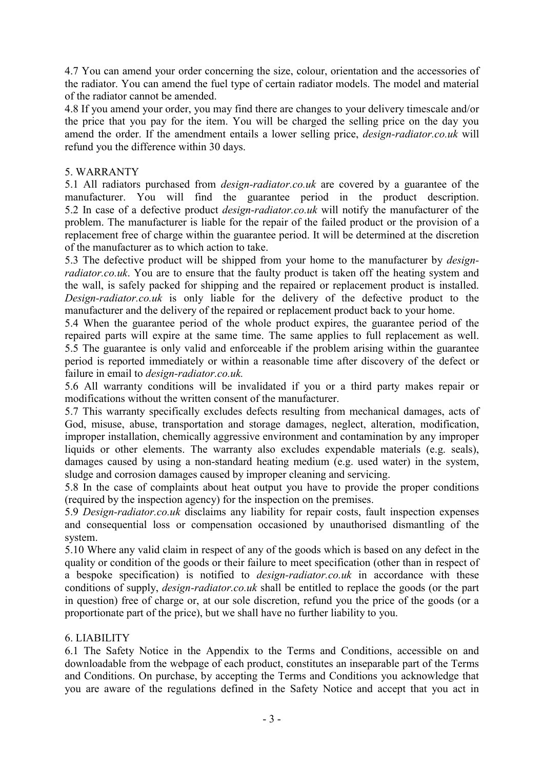4.7 You can amend your order concerning the size, colour, orientation and the accessories of the radiator. You can amend the fuel type of certain radiator models. The model and material of the radiator cannot be amended.

4.8 If you amend your order, you may find there are changes to your delivery timescale and/or the price that you pay for the item. You will be charged the selling price on the day you amend the order. If the amendment entails a lower selling price, *design-radiator.co.uk* will refund you the difference within 30 days.

### 5. WARRANTY

5.1 All radiators purchased from *design-radiator.co.uk* are covered by a guarantee of the manufacturer. You will find the guarantee period in the product description. 5.2 In case of a defective product *design-radiator.co.uk* will notify the manufacturer of the problem. The manufacturer is liable for the repair of the failed product or the provision of a replacement free of charge within the guarantee period. It will be determined at the discretion of the manufacturer as to which action to take.

5.3 The defective product will be shipped from your home to the manufacturer by *designradiator.co.uk*. You are to ensure that the faulty product is taken off the heating system and the wall, is safely packed for shipping and the repaired or replacement product is installed. *Design-radiator.co.uk* is only liable for the delivery of the defective product to the manufacturer and the delivery of the repaired or replacement product back to your home.

5.4 When the guarantee period of the whole product expires, the guarantee period of the repaired parts will expire at the same time. The same applies to full replacement as well. 5.5 The guarantee is only valid and enforceable if the problem arising within the guarantee period is reported immediately or within a reasonable time after discovery of the defect or failure in email to *design-radiator.co.uk.*

5.6 All warranty conditions will be invalidated if you or a third party makes repair or modifications without the written consent of the manufacturer.

5.7 This warranty specifically excludes defects resulting from mechanical damages, acts of God, misuse, abuse, transportation and storage damages, neglect, alteration, modification, improper installation, chemically aggressive environment and contamination by any improper liquids or other elements. The warranty also excludes expendable materials (e.g. seals), damages caused by using a non-standard heating medium (e.g. used water) in the system, sludge and corrosion damages caused by improper cleaning and servicing.

5.8 In the case of complaints about heat output you have to provide the proper conditions (required by the inspection agency) for the inspection on the premises.

5.9 *Design-radiator.co.uk* disclaims any liability for repair costs, fault inspection expenses and consequential loss or compensation occasioned by unauthorised dismantling of the system.

5.10 Where any valid claim in respect of any of the goods which is based on any defect in the quality or condition of the goods or their failure to meet specification (other than in respect of a bespoke specification) is notified to *design-radiator.co.uk* in accordance with these conditions of supply, *design-radiator.co.uk* shall be entitled to replace the goods (or the part in question) free of charge or, at our sole discretion, refund you the price of the goods (or a proportionate part of the price), but we shall have no further liability to you.

# 6. LIABILITY

6.1 The Safety Notice in the Appendix to the Terms and Conditions, accessible on and downloadable from the webpage of each product, constitutes an inseparable part of the Terms and Conditions. On purchase, by accepting the Terms and Conditions you acknowledge that you are aware of the regulations defined in the Safety Notice and accept that you act in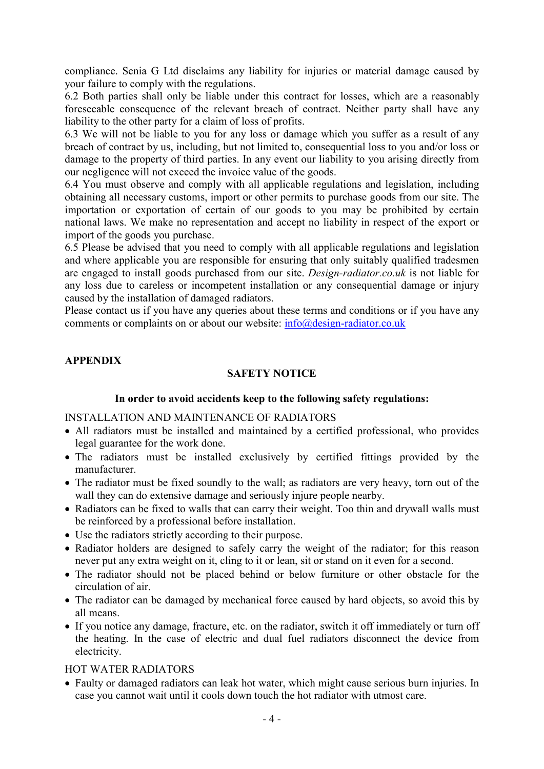compliance. Senia G Ltd disclaims any liability for injuries or material damage caused by your failure to comply with the regulations.

6.2 Both parties shall only be liable under this contract for losses, which are a reasonably foreseeable consequence of the relevant breach of contract. Neither party shall have any liability to the other party for a claim of loss of profits.

6.3 We will not be liable to you for any loss or damage which you suffer as a result of any breach of contract by us, including, but not limited to, consequential loss to you and/or loss or damage to the property of third parties. In any event our liability to you arising directly from our negligence will not exceed the invoice value of the goods.

6.4 You must observe and comply with all applicable regulations and legislation, including obtaining all necessary customs, import or other permits to purchase goods from our site. The importation or exportation of certain of our goods to you may be prohibited by certain national laws. We make no representation and accept no liability in respect of the export or import of the goods you purchase.

6.5 Please be advised that you need to comply with all applicable regulations and legislation and where applicable you are responsible for ensuring that only suitably qualified tradesmen are engaged to install goods purchased from our site. *Design-radiator.co.uk* is not liable for any loss due to careless or incompetent installation or any consequential damage or injury caused by the installation of damaged radiators.

Please contact us if you have any queries about these terms and conditions or if you have any comments or complaints on or about our website: info@design-radiator.co.uk

# APPENDIX

### SAFETY NOTICE

#### In order to avoid accidents keep to the following safety regulations:

#### INSTALLATION AND MAINTENANCE OF RADIATORS

- All radiators must be installed and maintained by a certified professional, who provides legal guarantee for the work done.
- The radiators must be installed exclusively by certified fittings provided by the manufacturer.
- The radiator must be fixed soundly to the wall; as radiators are very heavy, torn out of the wall they can do extensive damage and seriously injure people nearby.
- Radiators can be fixed to walls that can carry their weight. Too thin and drywall walls must be reinforced by a professional before installation.
- Use the radiators strictly according to their purpose.
- Radiator holders are designed to safely carry the weight of the radiator; for this reason never put any extra weight on it, cling to it or lean, sit or stand on it even for a second.
- The radiator should not be placed behind or below furniture or other obstacle for the circulation of air.
- The radiator can be damaged by mechanical force caused by hard objects, so avoid this by all means.
- If you notice any damage, fracture, etc. on the radiator, switch it off immediately or turn off the heating. In the case of electric and dual fuel radiators disconnect the device from electricity.

### HOT WATER RADIATORS

 Faulty or damaged radiators can leak hot water, which might cause serious burn injuries. In case you cannot wait until it cools down touch the hot radiator with utmost care.